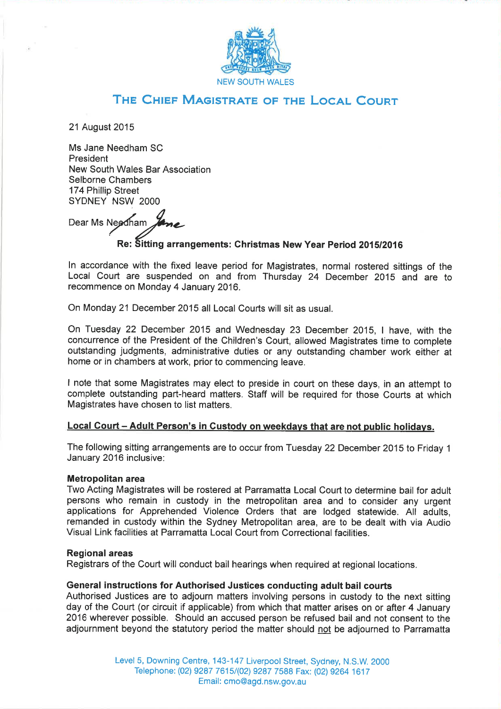

# THE CHIEF MAGISTRATE OF THE LOCAL COURT

21 August 2015

Ms Jane Needham SC President New South Wales Bar Association Selborne Chambers 174 Phillip Street SYDNEY NSW 2OOO

Dear Ms Needham

## Re: Sitting arrangements: Christmas New Year Period <sup>201512016</sup>

ln accordance with the fixed leave period for Magistrates, normal rostered sittings of the Local Court are suspended on and from Thursday 24 December 2015 and are to recommence on Monday 4 January 2016.

On Monday 21 December 2Q15 all Local Courts will sit as usual.

On Tuesday 22 December 2015 and Wednesday 23 December 2015, I have, with the concurrence of the President of the Children's Court, allowed Magistrates time to complete outstanding judgments, administrative duties or any outstanding chamber work either at home or in chambers at work, prior to commencing leave.

<sup>I</sup>note that some Magistrates may elect to preside in court on these days, in an attempt to complete outstanding part-heard matters. Staff will be required for those Courts at which Magistrates have chosen to list matters.

#### Local Court - Adult Person's in Custody on weekdays that are not public holidays.

The following sitting arrangements are to occur from Tuesday 22 December 2015 to Friday 1 January 2016 inclusive:

#### Metropolitan area

Two Acting Magistrates will be rostered at Parramatta Local Court to determine bail for adult persons who remain in custody in the metropolitan area and to consider any urgent applications for Apprehended Violence Orders that are lodged statewide. All adults, remanded in custody within the Sydney Metropolitan area, are to be dealt with via Audio Visual Link facilities at Parramatta Local Court from Correctional facilities.

#### Regional areas

Registrars of the Court will conduct bail hearings when required at regional locations.

#### General instructions for Authorised Justices conducting adult bail courts

Authorised Justices are to adjourn matters involving persons in custody to the next sitting day of the Court (or circuit if applicable) from which that matter arises on or after 4 January 2016 wherever possible. Should an accused person be refused bail and not consent to the adjournment beyond the statutory period the matter should not be adjourned to Parramatta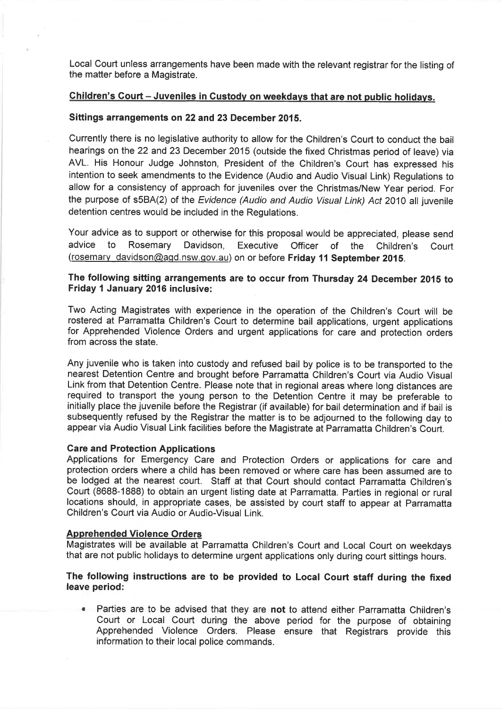Local Court unless arrangements have been made with the relevant registrar for the listing of the matter before a Magistrate.

### Children's Court - Juveniles in Custody on weekdays that are not public holidays.

#### Sittings arrangements on 22 and 23 December 2015.

Currently there is no legislative authority to allow for the Children's Court to conduct the bail hearings on the 22 and 23 December 2015 (outside the fixed Christmas period of leave) via AVL. His Honour Judge Johnston, President of the Children's Court has expressed his intention to seek amendments to the Evidence (Audio and Audio Visual Link) Regulations to allow for a consistency of approach for juveniles over the Christmas/New Year period. For the purpose of s5BA(2) of the Evidence (Audio and Audio Visual Link) Act 2010 all juvenile detention centres would be included in the Regulations.

Your advice as to support or otherwise for this proposal would be appreciated, please send advice to Rosemary Davidson, Executive Otficer of the Children's Court (rosemary davidson@agd.nsw.gov.au) on or before Friday 11 September 2015.

### The following sitting arrangements are to occur from Thursday 24 December 2015 to Friday I January 2016 inclusive:

Two Acting Magistrates with experience in the operation of the Children's Court will be rostered at Parramatta Children's Court to determine bail applications, urgent applications for Apprehended Violence Orders and urgent applications for care and protection orders from across the state.

Any juvenile who is taken into custody and refused bail by police is to be transported to the nearest Detention Centre and brought before Parramatta Children's Court via Audio Visual Link from that Detention Centre. Please note that in regional areas where long distances are required to transport the young person to the Detention Centre it may be preferable to initially place the juvenile before the Registrar (if available) for bail determination and if bail is subsequently refused by the Registrar the matter is to be adjourned to the following day to appear via Audio Visual Link facilities before the Magistrate at Parramatta Children's Court.

#### Gare and Protection Applications

Applications for Emergency Care and Protection Orders or applications for care and protection orders where a child has been removed or where care has been assumed are to be lodged at the nearest court. Staff at that Court should contact Parramatta Children's Court (8688-1888) to obtain an urgent listing date at Parramatta. Parties in regional or rural locations should, in appropriate cases, be assisted by court staff to appear at Parramatta Children's Court via Audio or Audio-Visual Link.

#### Apprehended Violence Orders

Magistrates will be available at Parramatta Children's Court and Local Court on weekdays that are not public holidays to determine urgent applications only during court sittings hours.

#### The following instructions are to be provided to Local Gourt staff during the fixed leave period:

**Parties are to be advised that they are not to attend either Parramatta Children's** Court or Local Court during the above period for the purpose of obtaining Apprehended Violence Orders. Please ensure that Registrars provide this information to their local police commands.